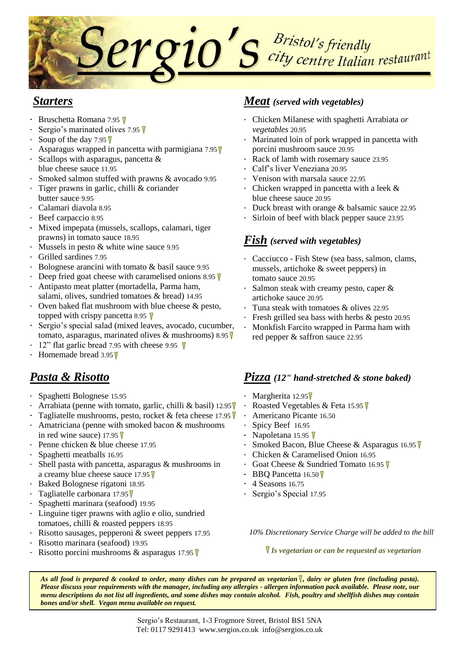

### *Starters*

- Bruschetta Romana 7.95
- Sergio's marinated olives 7.95 ▼
- Soup of the day 7.95  $\nabla$
- Asparagus wrapped in pancetta with parmigiana  $7.95$
- Scallops with asparagus, pancetta & blue cheese sauce 11.95
- Smoked salmon stuffed with prawns & avocado 9.95
- Tiger prawns in garlic, chilli & coriander butter sauce 9.95
- Calamari diavola 8.95
- Beef carpaccio 8.95
- Mixed impepata (mussels, scallops, calamari, tiger prawns) in tomato sauce 18.95
- Mussels in pesto & white wine sauce 9.95
- Grilled sardines 7.95
- Bolognese arancini with tomato & basil sauce 9.95
- Deep fried goat cheese with caramelised onions 8.95  $\nabla$
- Antipasto meat platter (mortadella, Parma ham, salami, olives, sundried tomatoes & bread) 14.95
- Oven baked flat mushroom with blue cheese & pesto, topped with crispy pancetta 8.95  $\nabla$
- Sergio's special salad (mixed leaves, avocado, cucumber, tomato, asparagus, marinated olives & mushrooms) 8.95  $\nabla$
- 12" flat garlic bread 7.95 with cheese 9.95  $\nabla$
- $\cdot$  Homemade bread 3.95  $\nabla$

# *Pasta & Risotto*

- Spaghetti Bolognese 15.95
- Arrabiata (penne with tomato, garlic, chilli & basil) 12.95
- Tagliatelle mushrooms, pesto, rocket & feta cheese 17.95
- Amatriciana (penne with smoked bacon & mushrooms in red wine sauce) 17.95  $\nabla$
- Penne chicken & blue cheese 17.95
- Spaghetti meatballs 16.95
- Shell pasta with pancetta, asparagus & mushrooms in a creamy blue cheese sauce 17.95
- Baked Bolognese rigatoni 18.95
- Tagliatelle carbonara 17.95
- Spaghetti marinara (seafood) 19.95
- Linguine tiger prawns with aglio e olio, sundried tomatoes, chilli & roasted peppers 18.95
- Risotto sausages, pepperoni & sweet peppers 17.95
- Risotto marinara (seafood) 19.95
- Risotto porcini mushrooms & asparagus 17.95  $\nabla$

#### *Meat (served with vegetables)*

- Chicken Milanese with spaghetti Arrabiata *or vegetables* 20.95
- Marinated loin of pork wrapped in pancetta with porcini mushroom sauce 20.95
- Rack of lamb with rosemary sauce 23.95
- Calf's liver Veneziana 20.95
- Venison with marsala sauce 22.95
- Chicken wrapped in pancetta with a leek & blue cheese sauce 20.95
- Duck breast with orange & balsamic sauce 22.95
- Sirloin of beef with black pepper sauce 23.95

## *Fish (served with vegetables)*

- Cacciucco Fish Stew (sea bass, salmon, clams, mussels, artichoke & sweet peppers) in tomato sauce 20.95
- Salmon steak with creamy pesto, caper & artichoke sauce 20.95
- Tuna steak with tomatoes & olives 22.95
- Fresh grilled sea bass with herbs & pesto 20.95
- Monkfish Farcito wrapped in Parma ham with red pepper & saffron sauce 22.95

#### *Pizza (12" hand-stretched & stone baked)*

- $\cdot$  Margherita 12.95
- Roasted Vegetables & Feta 15.95
- Americano Picante 16.50
- Spicy Beef 16.95
- Napoletana 15.95 V
- Smoked Bacon, Blue Cheese & Asparagus 16.95
- Chicken & Caramelised Onion 16.95
- Goat Cheese & Sundried Tomato 16.95
- BBQ Pancetta 16.50
- 4 Seasons 16.75
- Sergio's Special 17.95

*10% Discretionary Service Charge will be added to the bill*

*Is vegetarian or can be requested as vegetarian*

*As all food is prepared & cooked to order, many dishes can be prepared as vegetarian , dairy or gluten free (including pasta). Please discuss your requirements with the manager, including any allergies - allergen information pack available. Please note, our menu descriptions do not list all ingredients, and some dishes may contain alcohol. Fish, poultry and shellfish dishes may contain bones and/or shell. Vegan menu available on request.*